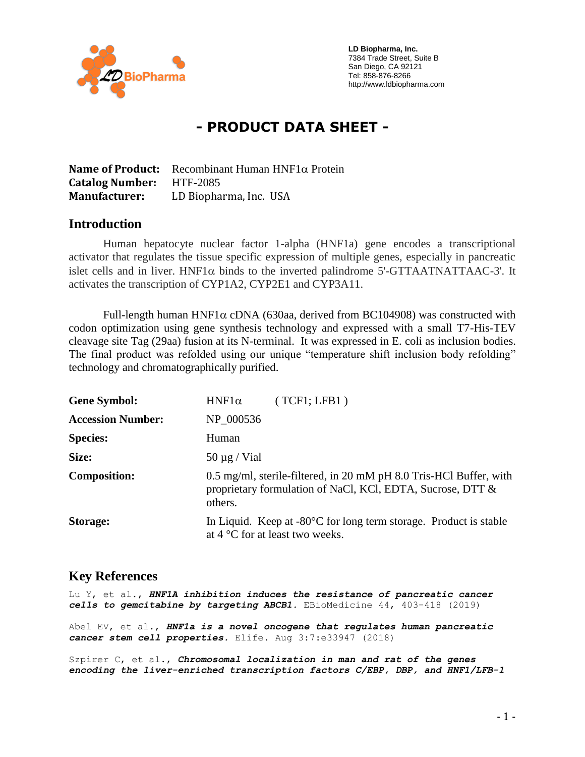

 **LD Biopharma, Inc.** 7384 Trade Street, Suite B San Diego, CA 92121 Tel: 858-876-8266 http://www.ldbiopharma.com

# **- PRODUCT DATA SHEET -**

**Name of Product:** Recombinant Human  $HNF1\alpha$  Protein **Catalog Number:** HTF-2085 **Manufacturer:** LD Biopharma, Inc. USA

#### **Introduction**

Human hepatocyte nuclear factor 1-alpha (HNF1a) gene encodes a transcriptional activator that regulates the tissue specific expression of multiple genes, especially in pancreatic islet cells and in liver. HNF1 $\alpha$  binds to the inverted palindrome 5'-GTTAATNATTAAC-3'. It activates the transcription of CYP1A2, CYP2E1 and CYP3A11.

Full-length human HNF1 $\alpha$  cDNA (630aa, derived from BC104908) was constructed with codon optimization using gene synthesis technology and expressed with a small T7-His-TEV cleavage site Tag (29aa) fusion at its N-terminal. It was expressed in E. coli as inclusion bodies. The final product was refolded using our unique "temperature shift inclusion body refolding" technology and chromatographically purified.

| <b>Gene Symbol:</b>      | (TCF1; LFB1)<br>$HNF1\alpha$                                                                                                                |
|--------------------------|---------------------------------------------------------------------------------------------------------------------------------------------|
| <b>Accession Number:</b> | NP_000536                                                                                                                                   |
| <b>Species:</b>          | Human                                                                                                                                       |
| Size:                    | 50 $\mu$ g / Vial                                                                                                                           |
| <b>Composition:</b>      | 0.5 mg/ml, sterile-filtered, in 20 mM pH 8.0 Tris-HCl Buffer, with<br>proprietary formulation of NaCl, KCl, EDTA, Sucrose, DTT &<br>others. |
| Storage:                 | In Liquid. Keep at $-80^{\circ}$ C for long term storage. Product is stable<br>at 4 °C for at least two weeks.                              |

#### **Key References**

Lu Y, et al., *HNF1A inhibition induces the resistance of pancreatic cancer cells to gemcitabine by targeting ABCB1.* EBioMedicine 44, 403-418 (2019)

Abel EV, et al., *HNF1a is a novel oncogene that regulates human pancreatic cancer stem cell properties.* Elife. Aug 3:7:e33947 (2018)

Szpirer C, et al., *Chromosomal localization in man and rat of the genes encoding the liver-enriched transcription factors C/EBP, DBP, and HNF1/LFB-1*